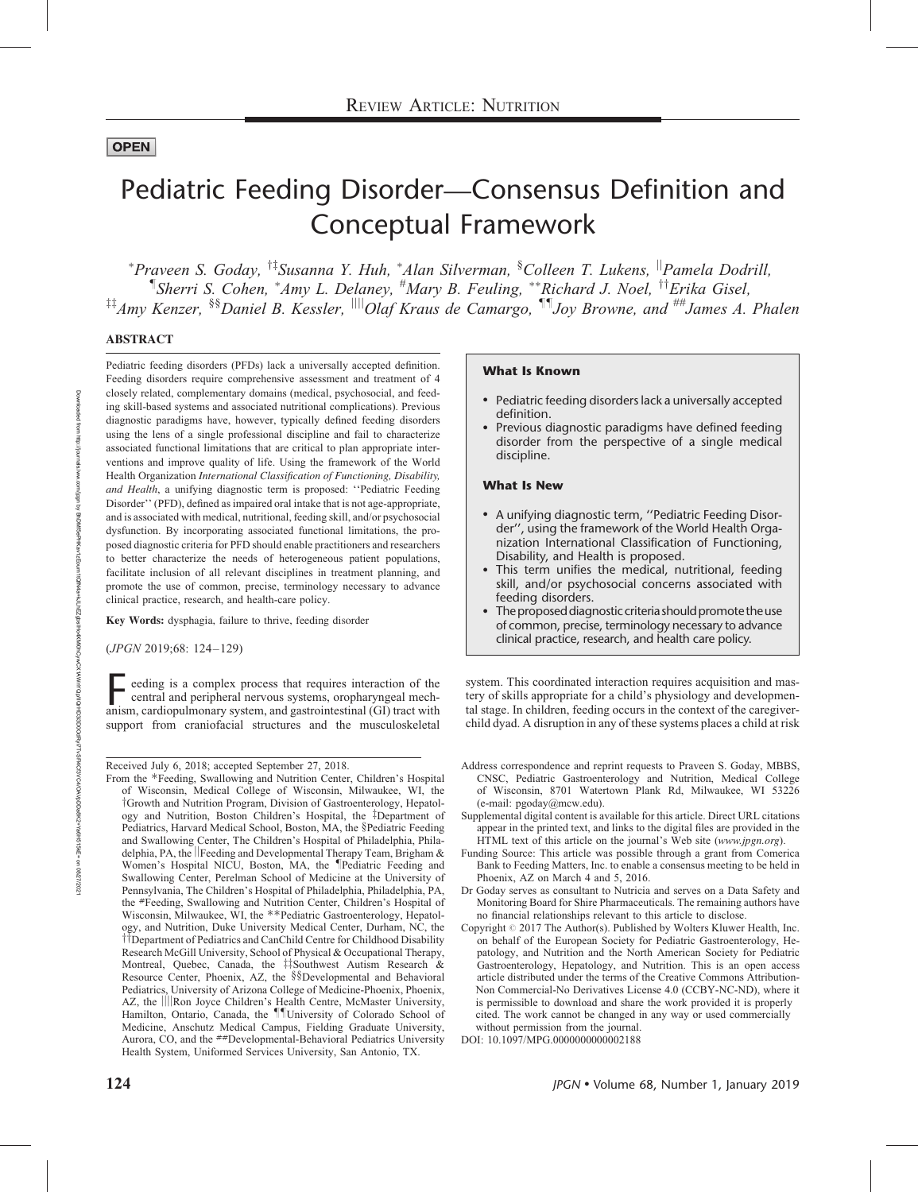# **OPEN**

# Pediatric Feeding Disorder—Consensus Definition and Conceptual Framework

\*Praveen S. Goday, <sup>†‡</sup>Susanna Y. Huh, \*Alan Silverman, <sup>§</sup>Colleen T. Lukens, <sup>||</sup>Pamela Dodrill, <sup>¶</sup>Sherri S. Cohen, \*Amy L. Delaney, <sup>#</sup>Mary B. Feuling, \*\*Richard J. Noel, <sup>††</sup>Erika Gisel, <sup>#‡</sup>Amy Kenzer, <sup>§§</sup>Daniel B. Kessler, <sup>||||</sup>Olaf Kraus de Camargo, <sup>¶¶</sup>Joy Browne, and <sup>##</sup>James A. Phalen

## ABSTRACT

Pediatric feeding disorders (PFDs) lack a universally accepted definition. Feeding disorders require comprehensive assessment and treatment of 4 closely related, complementary domains (medical, psychosocial, and feeding skill-based systems and associated nutritional complications). Previous diagnostic paradigms have, however, typically defined feeding disorders using the lens of a single professional discipline and fail to characterize associated functional limitations that are critical to plan appropriate interventions and improve quality of life. Using the framework of the World Health Organization International Classification of Functioning, Disability, and Health, a unifying diagnostic term is proposed: ''Pediatric Feeding Disorder'' (PFD), defined as impaired oral intake that is not age-appropriate, and is associated with medical, nutritional, feeding skill, and/or psychosocial dysfunction. By incorporating associated functional limitations, the proposed diagnostic criteria for PFD should enable practitioners and researchers to better characterize the needs of heterogeneous patient populations, facilitate inclusion of all relevant disciplines in treatment planning, and promote the use of common, precise, terminology necessary to advance clinical practice, research, and health-care policy.

Key Words: dysphagia, failure to thrive, feeding disorder

(JPGN 2019;68: 124–129)

Feeding is a complex process that requires interaction of the central and peripheral nervous systems, oropharyngeal mechanism, cardiopulmonary system, and gastrointestinal (GI) tract with central and peripheral nervous systems, oropharyngeal mechsupport from craniofacial structures and the musculoskeletal

Received July 6, 2018; accepted September 27, 2018.

From the \*Feeding, Swallowing and Nutrition Center, Children's Hospital of Wisconsin, Medical College of Wisconsin, Milwaukee, WI, the <sup>†</sup>Growth and Nutrition Program, Division of Gastroenterology, Hepatology and Nutrition, Boston Children's Hospital, the  $\ddagger$ Department of Pediatrics, Harvard Medical School, Boston, MA, the §Pediatric Feeding and Swallowing Center, The Children's Hospital of Philadelphia, Philadelphia, PA, the ||Feeding and Developmental Therapy Team, Brigham  $\&$ Women's Hospital NICU, Boston, MA, the <sup>I</sup>Pediatric Feeding and Swallowing Center, Perelman School of Medicine at the University of Pennsylvania, The Children's Hospital of Philadelphia, Philadelphia, PA, the #Feeding, Swallowing and Nutrition Center, Children's Hospital of Wisconsin, Milwaukee, WI, the \*\*Pediatric Gastroenterology, Hepatology, and Nutrition, Duke University Medical Center, Durham, NC, the <sup>††</sup>Department of Pediatrics and CanChild Centre for Childhood Disability Research McGill University, School of Physical & Occupational Therapy, Montreal, Quebec, Canada, the #Southwest Autism Research & Resource Center, Phoenix, AZ, the §§Developmental and Behavioral Pediatrics, University of Arizona College of Medicine-Phoenix, Phoenix, AZ, the ||||Ron Joyce Children's Health Centre, McMaster University, Hamilton, Ontario, Canada, the IllUniversity of Colorado School of Medicine, Anschutz Medical Campus, Fielding Graduate University, Aurora, CO, and the ##Developmental-Behavioral Pediatrics University Health System, Uniformed Services University, San Antonio, TX.

#### What Is Known

- Pediatric feeding disorders lack a universally accepted definition.
- Previous diagnostic paradigms have defined feeding disorder from the perspective of a single medical discipline.

#### What Is New

- A unifying diagnostic term, ''Pediatric Feeding Disorder'', using the framework of the World Health Organization International Classification of Functioning, Disability, and Health is proposed.
- This term unifies the medical, nutritional, feeding skill, and/or psychosocial concerns associated with feeding disorders.
- The proposed diagnostic criteria should promote the use of common, precise, terminology necessary to advance clinical practice, research, and health care policy.

system. This coordinated interaction requires acquisition and mastery of skills appropriate for a child's physiology and developmental stage. In children, feeding occurs in the context of the caregiverchild dyad. A disruption in any of these systems places a child at risk

- Address correspondence and reprint requests to Praveen S. Goday, MBBS, CNSC, Pediatric Gastroenterology and Nutrition, Medical College of Wisconsin, 8701 Watertown Plank Rd, Milwaukee, WI 53226 (e-mail: [pgoday@mcw.edu\)](mailto:pgoday@mcw.edu).
- Supplemental digital content is available for this article. Direct URL citations appear in the printed text, and links to the digital files are provided in the HTML text of this article on the journal's Web site ([www.jpgn.org](http://www.jpgn.org/)).
- Funding Source: This article was possible through a grant from Comerica Bank to Feeding Matters, Inc. to enable a consensus meeting to be held in Phoenix, AZ on March 4 and 5, 2016.
- Dr Goday serves as consultant to Nutricia and serves on a Data Safety and Monitoring Board for Shire Pharmaceuticals. The remaining authors have no financial relationships relevant to this article to disclose.
- Copyright  $\odot$  2017 The Author(s). Published by Wolters Kluwer Health, Inc. on behalf of the European Society for Pediatric Gastroenterology, Hepatology, and Nutrition and the North American Society for Pediatric Gastroenterology, Hepatology, and Nutrition. This is an open access article distributed under the terms of the Creative Commons Attribution-Non Commercial-No Derivatives License 4.0 (CCBY-NC-ND), where it is permissible to download and share the work provided it is properly cited. The work cannot be changed in any way or used commercially without permission from the journal.
- DOI: [10.1097/MPG.0000000000002188](http://dx.doi.org/10.1097/MPG.0000000000002188)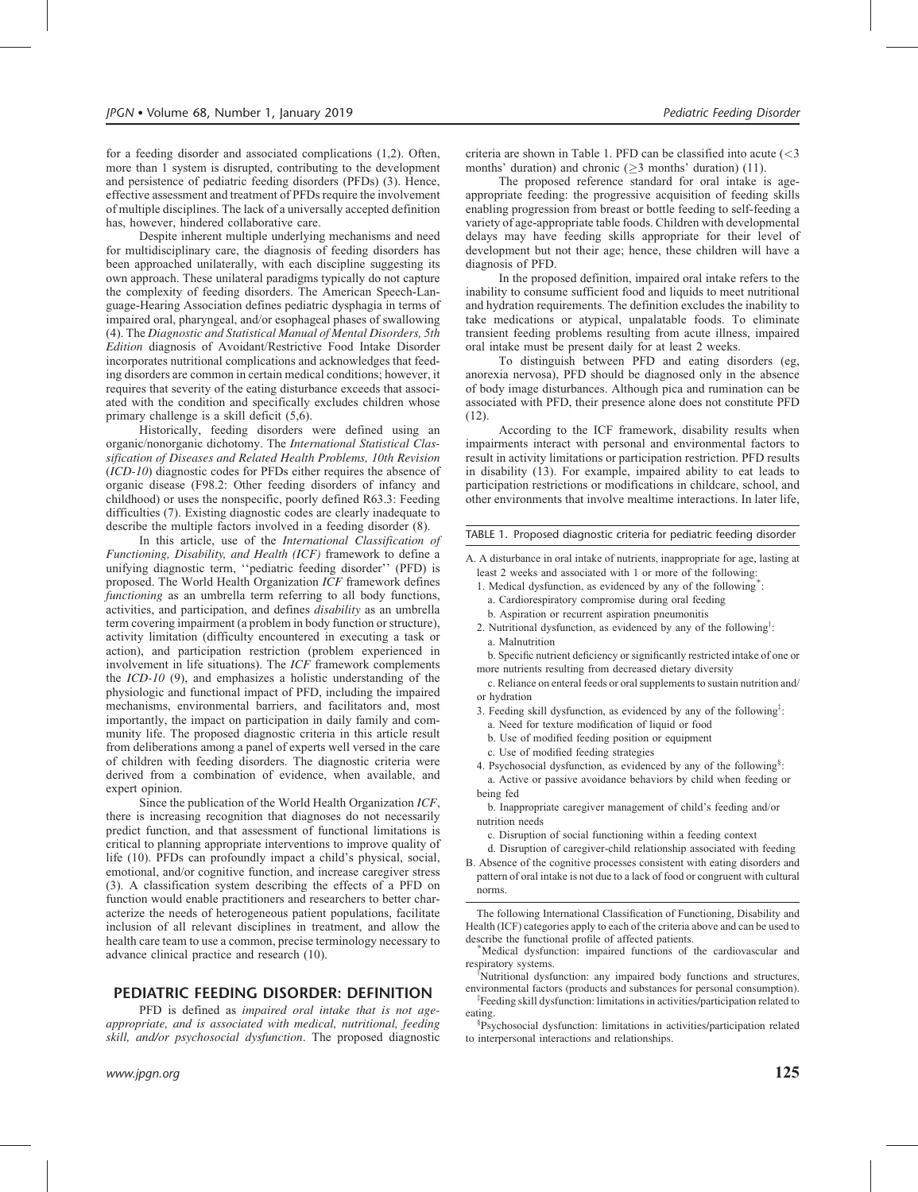for a feeding disorder and associated complications (1,2). Often, more than 1 system is disrupted, contributing to the development and persistence of pediatric feeding disorders (PFDs) (3). Hence, effective assessment and treatment of PFDs require the involvement of multiple disciplines. The lack of a universally accepted definition has, however, hindered collaborative care.

Despite inherent multiple underlying mechanisms and need for multidisciplinary care, the diagnosis of feeding disorders has been approached unilaterally, with each discipline suggesting its own approach. These unilateral paradigms typically do not capture the complexity of feeding disorders. The American Speech-Language-Hearing Association defines pediatric dysphagia in terms of impaired oral, pharyngeal, and/or esophageal phases of swallowing (4). The Diagnostic and Statistical Manual of Mental Disorders, 5th Edition diagnosis of Avoidant/Restrictive Food Intake Disorder incorporates nutritional complications and acknowledges that feeding disorders are common in certain medical conditions; however, it requires that severity of the eating disturbance exceeds that associated with the condition and specifically excludes children whose primary challenge is a skill deficit (5,6).

Historically, feeding disorders were defined using an organic/nonorganic dichotomy. The International Statistical Classification of Diseases and Related Health Problems, 10th Revision (ICD-10) diagnostic codes for PFDs either requires the absence of organic disease (F98.2: Other feeding disorders of infancy and childhood) or uses the nonspecific, poorly defined R63.3: Feeding difficulties (7). Existing diagnostic codes are clearly inadequate to describe the multiple factors involved in a feeding disorder (8).

In this article, use of the International Classification of Functioning, Disability, and Health (ICF) framework to define a unifying diagnostic term, ''pediatric feeding disorder'' (PFD) is proposed. The World Health Organization ICF framework defines functioning as an umbrella term referring to all body functions, activities, and participation, and defines disability as an umbrella term covering impairment (a problem in body function or structure), activity limitation (difficulty encountered in executing a task or action), and participation restriction (problem experienced in involvement in life situations). The ICF framework complements the ICD-10 (9), and emphasizes a holistic understanding of the physiologic and functional impact of PFD, including the impaired mechanisms, environmental barriers, and facilitators and, most importantly, the impact on participation in daily family and community life. The proposed diagnostic criteria in this article result from deliberations among a panel of experts well versed in the care of children with feeding disorders. The diagnostic criteria were derived from a combination of evidence, when available, and expert opinion.

Since the publication of the World Health Organization ICF, there is increasing recognition that diagnoses do not necessarily predict function, and that assessment of functional limitations is critical to planning appropriate interventions to improve quality of life (10). PFDs can profoundly impact a child's physical, social, emotional, and/or cognitive function, and increase caregiver stress (3). A classification system describing the effects of a PFD on function would enable practitioners and researchers to better characterize the needs of heterogeneous patient populations, facilitate inclusion of all relevant disciplines in treatment, and allow the health care team to use a common, precise terminology necessary to advance clinical practice and research (10).

## PEDIATRIC FEEDING DISORDER: DEFINITION

PFD is defined as *impaired oral intake that is not age*appropriate, and is associated with medical, nutritional, feeding skill, and/or psychosocial dysfunction. The proposed diagnostic criteria are shown in Table 1. PFD can be classified into acute  $\langle$  <3 months' duration) and chronic  $(>3$  months' duration) (11).

The proposed reference standard for oral intake is ageappropriate feeding: the progressive acquisition of feeding skills enabling progression from breast or bottle feeding to self-feeding a variety of age-appropriate table foods. Children with developmental delays may have feeding skills appropriate for their level of development but not their age; hence, these children will have a diagnosis of PFD.

In the proposed definition, impaired oral intake refers to the inability to consume sufficient food and liquids to meet nutritional and hydration requirements. The definition excludes the inability to take medications or atypical, unpalatable foods. To eliminate transient feeding problems resulting from acute illness, impaired oral intake must be present daily for at least 2 weeks.

To distinguish between PFD and eating disorders (eg, anorexia nervosa), PFD should be diagnosed only in the absence of body image disturbances. Although pica and rumination can be associated with PFD, their presence alone does not constitute PFD (12).

According to the ICF framework, disability results when impairments interact with personal and environmental factors to result in activity limitations or participation restriction. PFD results in disability (13). For example, impaired ability to eat leads to participation restrictions or modifications in childcare, school, and other environments that involve mealtime interactions. In later life,

#### TABLE 1. Proposed diagnostic criteria for pediatric feeding disorder

- A. A disturbance in oral intake of nutrients, inappropriate for age, lasting at least 2 weeks and associated with 1 or more of the following:
	- 1. Medical dysfunction, as evidenced by any of the following<sup>\*</sup>:
		- a. Cardiorespiratory compromise during oral feeding
		- b. Aspiration or recurrent aspiration pneumonitis
	- 2. Nutritional dysfunction, as evidenced by any of the following<sup>†</sup>: a. Malnutrition

b. Specific nutrient deficiency or significantly restricted intake of one or more nutrients resulting from decreased dietary diversity

c. Reliance on enteral feeds or oral supplements to sustain nutrition and/ or hydration

- 3. Feeding skill dysfunction, as evidenced by any of the following<sup>†</sup>:
- a. Need for texture modification of liquid or food
- b. Use of modified feeding position or equipment
- c. Use of modified feeding strategies
- 4. Psychosocial dysfunction, as evidenced by any of the following<sup>§</sup>: a. Active or passive avoidance behaviors by child when feeding or being fed

b. Inappropriate caregiver management of child's feeding and/or nutrition needs

- c. Disruption of social functioning within a feeding context
- d. Disruption of caregiver-child relationship associated with feeding B. Absence of the cognitive processes consistent with eating disorders and
- pattern of oral intake is not due to a lack of food or congruent with cultural norms.

The following International Classification of Functioning, Disability and Health (ICF) categories apply to each of the criteria above and can be used to describe the functional profile of affected patients.

Medical dysfunction: impaired functions of the cardiovascular and respiratory systems.

Nutritional dysfunction: any impaired body functions and structures, environmental factors (products and substances for personal consumption).

<sup>‡</sup>Feeding skill dysfunction: limitations in activities/participation related to eating.

§ Psychosocial dysfunction: limitations in activities/participation related to interpersonal interactions and relationships.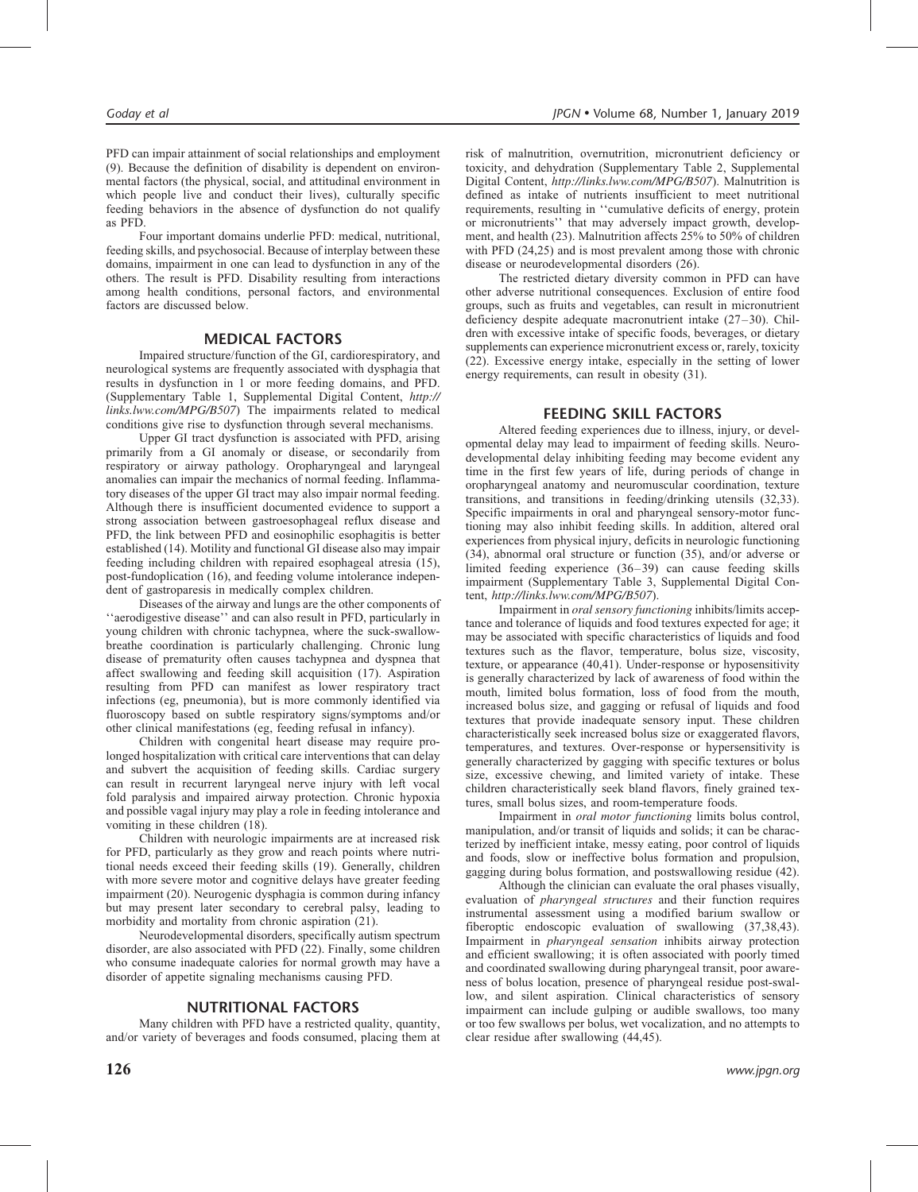PFD can impair attainment of social relationships and employment (9). Because the definition of disability is dependent on environmental factors (the physical, social, and attitudinal environment in which people live and conduct their lives), culturally specific feeding behaviors in the absence of dysfunction do not qualify as PFD.

Four important domains underlie PFD: medical, nutritional, feeding skills, and psychosocial. Because of interplay between these domains, impairment in one can lead to dysfunction in any of the others. The result is PFD. Disability resulting from interactions among health conditions, personal factors, and environmental factors are discussed below.

## MEDICAL FACTORS

Impaired structure/function of the GI, cardiorespiratory, and neurological systems are frequently associated with dysphagia that results in dysfunction in 1 or more feeding domains, and PFD. (Supplementary Table 1, Supplemental Digital Content, [http://](http://links.lww.com/MPG/B507) [links.lww.com/MPG/B507](http://links.lww.com/MPG/B507)) The impairments related to medical conditions give rise to dysfunction through several mechanisms.

Upper GI tract dysfunction is associated with PFD, arising primarily from a GI anomaly or disease, or secondarily from respiratory or airway pathology. Oropharyngeal and laryngeal anomalies can impair the mechanics of normal feeding. Inflammatory diseases of the upper GI tract may also impair normal feeding. Although there is insufficient documented evidence to support a strong association between gastroesophageal reflux disease and PFD, the link between PFD and eosinophilic esophagitis is better established (14). Motility and functional GI disease also may impair feeding including children with repaired esophageal atresia (15), post-fundoplication (16), and feeding volume intolerance independent of gastroparesis in medically complex children.

Diseases of the airway and lungs are the other components of ''aerodigestive disease'' and can also result in PFD, particularly in young children with chronic tachypnea, where the suck-swallowbreathe coordination is particularly challenging. Chronic lung disease of prematurity often causes tachypnea and dyspnea that affect swallowing and feeding skill acquisition (17). Aspiration resulting from PFD can manifest as lower respiratory tract infections (eg, pneumonia), but is more commonly identified via fluoroscopy based on subtle respiratory signs/symptoms and/or other clinical manifestations (eg, feeding refusal in infancy).

Children with congenital heart disease may require prolonged hospitalization with critical care interventions that can delay and subvert the acquisition of feeding skills. Cardiac surgery can result in recurrent laryngeal nerve injury with left vocal fold paralysis and impaired airway protection. Chronic hypoxia and possible vagal injury may play a role in feeding intolerance and vomiting in these children (18).

Children with neurologic impairments are at increased risk for PFD, particularly as they grow and reach points where nutritional needs exceed their feeding skills (19). Generally, children with more severe motor and cognitive delays have greater feeding impairment (20). Neurogenic dysphagia is common during infancy but may present later secondary to cerebral palsy, leading to morbidity and mortality from chronic aspiration (21).

Neurodevelopmental disorders, specifically autism spectrum disorder, are also associated with PFD (22). Finally, some children who consume inadequate calories for normal growth may have a disorder of appetite signaling mechanisms causing PFD.

# NUTRITIONAL FACTORS

Many children with PFD have a restricted quality, quantity, and/or variety of beverages and foods consumed, placing them at

risk of malnutrition, overnutrition, micronutrient deficiency or toxicity, and dehydration (Supplementary Table 2, Supplemental Digital Content, <http://links.lww.com/MPG/B507>). Malnutrition is defined as intake of nutrients insufficient to meet nutritional requirements, resulting in ''cumulative deficits of energy, protein or micronutrients'' that may adversely impact growth, development, and health (23). Malnutrition affects 25% to 50% of children with PFD (24,25) and is most prevalent among those with chronic disease or neurodevelopmental disorders (26).

The restricted dietary diversity common in PFD can have other adverse nutritional consequences. Exclusion of entire food groups, such as fruits and vegetables, can result in micronutrient deficiency despite adequate macronutrient intake (27–30). Children with excessive intake of specific foods, beverages, or dietary supplements can experience micronutrient excess or, rarely, toxicity (22). Excessive energy intake, especially in the setting of lower energy requirements, can result in obesity (31).

# FEEDING SKILL FACTORS

Altered feeding experiences due to illness, injury, or developmental delay may lead to impairment of feeding skills. Neurodevelopmental delay inhibiting feeding may become evident any time in the first few years of life, during periods of change in oropharyngeal anatomy and neuromuscular coordination, texture transitions, and transitions in feeding/drinking utensils (32,33). Specific impairments in oral and pharyngeal sensory-motor functioning may also inhibit feeding skills. In addition, altered oral experiences from physical injury, deficits in neurologic functioning (34), abnormal oral structure or function (35), and/or adverse or limited feeding experience (36–39) can cause feeding skills impairment (Supplementary Table 3, Supplemental Digital Content, <http://links.lww.com/MPG/B507>).

Impairment in oral sensory functioning inhibits/limits acceptance and tolerance of liquids and food textures expected for age; it may be associated with specific characteristics of liquids and food textures such as the flavor, temperature, bolus size, viscosity, texture, or appearance (40,41). Under-response or hyposensitivity is generally characterized by lack of awareness of food within the mouth, limited bolus formation, loss of food from the mouth, increased bolus size, and gagging or refusal of liquids and food textures that provide inadequate sensory input. These children characteristically seek increased bolus size or exaggerated flavors, temperatures, and textures. Over-response or hypersensitivity is generally characterized by gagging with specific textures or bolus size, excessive chewing, and limited variety of intake. These children characteristically seek bland flavors, finely grained textures, small bolus sizes, and room-temperature foods.

Impairment in oral motor functioning limits bolus control, manipulation, and/or transit of liquids and solids; it can be characterized by inefficient intake, messy eating, poor control of liquids and foods, slow or ineffective bolus formation and propulsion, gagging during bolus formation, and postswallowing residue (42).

Although the clinician can evaluate the oral phases visually, evaluation of pharyngeal structures and their function requires instrumental assessment using a modified barium swallow or fiberoptic endoscopic evaluation of swallowing (37,38,43). Impairment in pharyngeal sensation inhibits airway protection and efficient swallowing; it is often associated with poorly timed and coordinated swallowing during pharyngeal transit, poor awareness of bolus location, presence of pharyngeal residue post-swallow, and silent aspiration. Clinical characteristics of sensory impairment can include gulping or audible swallows, too many or too few swallows per bolus, wet vocalization, and no attempts to clear residue after swallowing (44,45).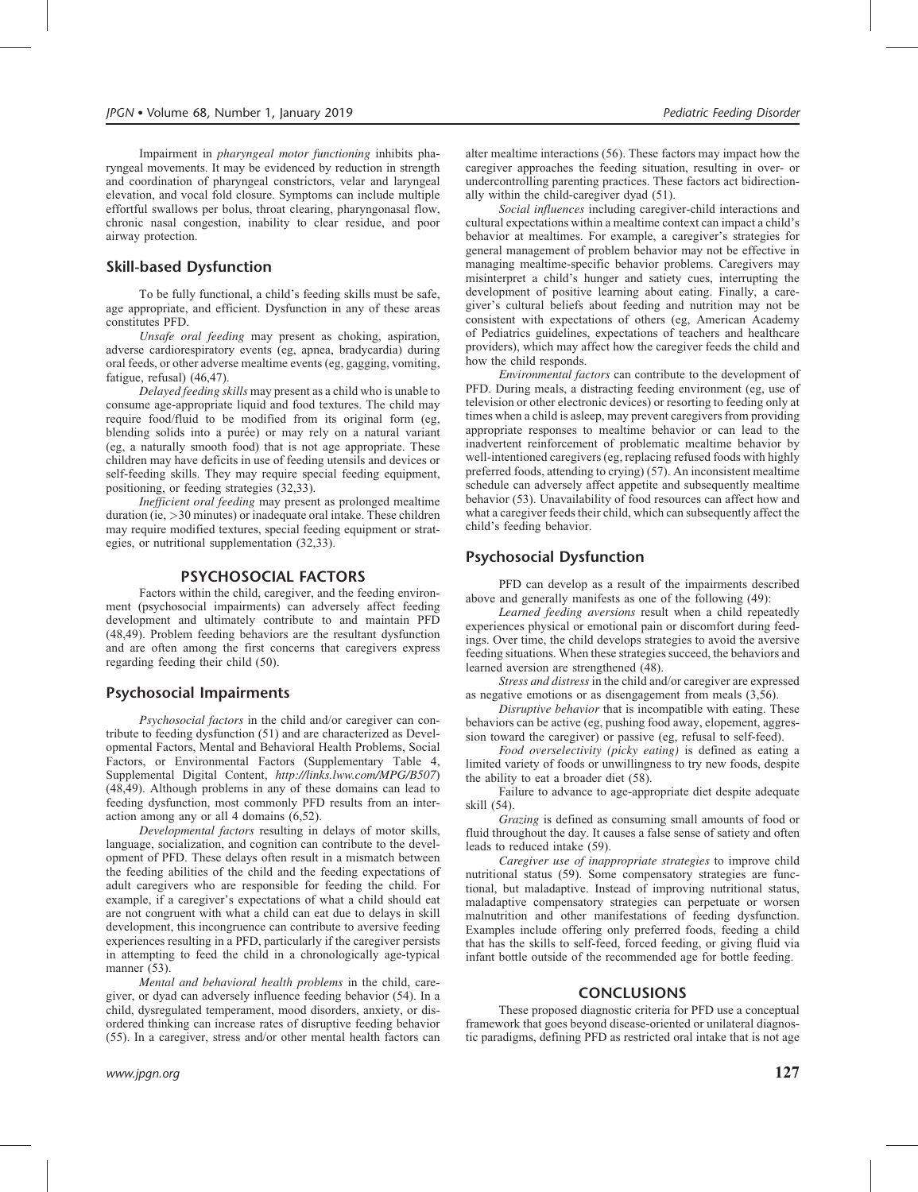Impairment in pharyngeal motor functioning inhibits pharyngeal movements. It may be evidenced by reduction in strength and coordination of pharyngeal constrictors, velar and laryngeal elevation, and vocal fold closure. Symptoms can include multiple effortful swallows per bolus, throat clearing, pharyngonasal flow, chronic nasal congestion, inability to clear residue, and poor airway protection.

# Skill-based Dysfunction

To be fully functional, a child's feeding skills must be safe, age appropriate, and efficient. Dysfunction in any of these areas constitutes PFD.

Unsafe oral feeding may present as choking, aspiration, adverse cardiorespiratory events (eg, apnea, bradycardia) during oral feeds, or other adverse mealtime events (eg, gagging, vomiting, fatigue, refusal) (46,47).

Delayed feeding skills may present as a child who is unable to consume age-appropriate liquid and food textures. The child may require food/fluid to be modified from its original form (eg, blending solids into a purée) or may rely on a natural variant (eg, a naturally smooth food) that is not age appropriate. These children may have deficits in use of feeding utensils and devices or self-feeding skills. They may require special feeding equipment, positioning, or feeding strategies (32,33).

Inefficient oral feeding may present as prolonged mealtime duration (ie, >30 minutes) or inadequate oral intake. These children may require modified textures, special feeding equipment or strategies, or nutritional supplementation (32,33).

#### PSYCHOSOCIAL FACTORS

Factors within the child, caregiver, and the feeding environment (psychosocial impairments) can adversely affect feeding development and ultimately contribute to and maintain PFD (48,49). Problem feeding behaviors are the resultant dysfunction and are often among the first concerns that caregivers express regarding feeding their child (50).

### Psychosocial Impairments

Psychosocial factors in the child and/or caregiver can contribute to feeding dysfunction (51) and are characterized as Developmental Factors, Mental and Behavioral Health Problems, Social Factors, or Environmental Factors (Supplementary Table 4, Supplemental Digital Content, <http://links.lww.com/MPG/B507>) (48,49). Although problems in any of these domains can lead to feeding dysfunction, most commonly PFD results from an interaction among any or all 4 domains (6,52).

Developmental factors resulting in delays of motor skills, language, socialization, and cognition can contribute to the development of PFD. These delays often result in a mismatch between the feeding abilities of the child and the feeding expectations of adult caregivers who are responsible for feeding the child. For example, if a caregiver's expectations of what a child should eat are not congruent with what a child can eat due to delays in skill development, this incongruence can contribute to aversive feeding experiences resulting in a PFD, particularly if the caregiver persists in attempting to feed the child in a chronologically age-typical manner (53).

Mental and behavioral health problems in the child, caregiver, or dyad can adversely influence feeding behavior (54). In a child, dysregulated temperament, mood disorders, anxiety, or disordered thinking can increase rates of disruptive feeding behavior (55). In a caregiver, stress and/or other mental health factors can

alter mealtime interactions (56). These factors may impact how the caregiver approaches the feeding situation, resulting in over- or undercontrolling parenting practices. These factors act bidirectionally within the child-caregiver dyad (51).

Social influences including caregiver-child interactions and cultural expectations within a mealtime context can impact a child's behavior at mealtimes. For example, a caregiver's strategies for general management of problem behavior may not be effective in managing mealtime-specific behavior problems. Caregivers may misinterpret a child's hunger and satiety cues, interrupting the development of positive learning about eating. Finally, a caregiver's cultural beliefs about feeding and nutrition may not be consistent with expectations of others (eg, American Academy of Pediatrics guidelines, expectations of teachers and healthcare providers), which may affect how the caregiver feeds the child and how the child responds.

Environmental factors can contribute to the development of PFD. During meals, a distracting feeding environment (eg, use of television or other electronic devices) or resorting to feeding only at times when a child is asleep, may prevent caregivers from providing appropriate responses to mealtime behavior or can lead to the inadvertent reinforcement of problematic mealtime behavior by well-intentioned caregivers (eg, replacing refused foods with highly preferred foods, attending to crying) (57). An inconsistent mealtime schedule can adversely affect appetite and subsequently mealtime behavior (53). Unavailability of food resources can affect how and what a caregiver feeds their child, which can subsequently affect the child's feeding behavior.

# Psychosocial Dysfunction

PFD can develop as a result of the impairments described above and generally manifests as one of the following (49):

Learned feeding aversions result when a child repeatedly experiences physical or emotional pain or discomfort during feedings. Over time, the child develops strategies to avoid the aversive feeding situations. When these strategies succeed, the behaviors and learned aversion are strengthened (48).

Stress and distress in the child and/or caregiver are expressed as negative emotions or as disengagement from meals (3,56).

Disruptive behavior that is incompatible with eating. These behaviors can be active (eg, pushing food away, elopement, aggression toward the caregiver) or passive (eg, refusal to self-feed).

Food overselectivity (picky eating) is defined as eating a limited variety of foods or unwillingness to try new foods, despite the ability to eat a broader diet (58).

Failure to advance to age-appropriate diet despite adequate skill (54).

Grazing is defined as consuming small amounts of food or fluid throughout the day. It causes a false sense of satiety and often leads to reduced intake (59).

Caregiver use of inappropriate strategies to improve child nutritional status (59). Some compensatory strategies are functional, but maladaptive. Instead of improving nutritional status, maladaptive compensatory strategies can perpetuate or worsen malnutrition and other manifestations of feeding dysfunction. Examples include offering only preferred foods, feeding a child that has the skills to self-feed, forced feeding, or giving fluid via infant bottle outside of the recommended age for bottle feeding.

## **CONCLUSIONS**

These proposed diagnostic criteria for PFD use a conceptual framework that goes beyond disease-oriented or unilateral diagnostic paradigms, defining PFD as restricted oral intake that is not age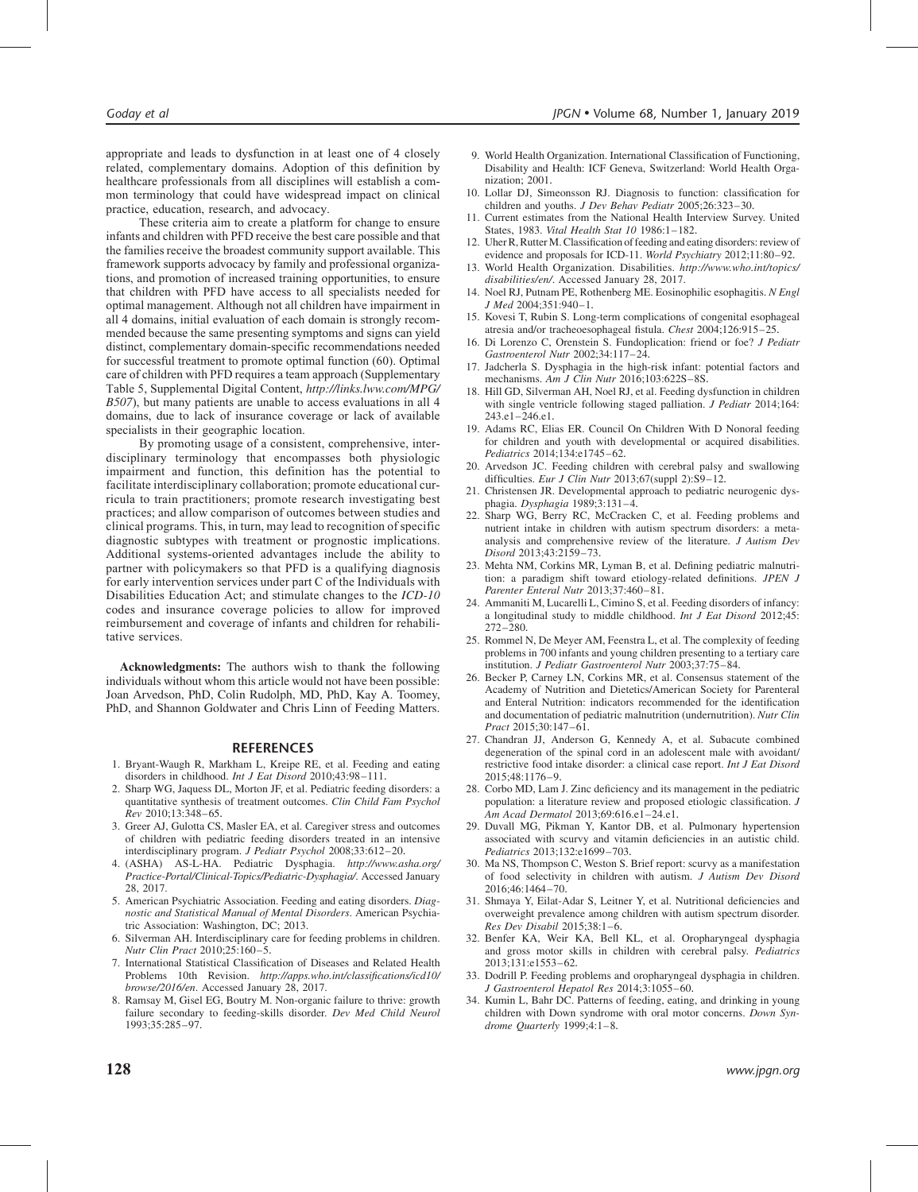appropriate and leads to dysfunction in at least one of 4 closely related, complementary domains. Adoption of this definition by healthcare professionals from all disciplines will establish a common terminology that could have widespread impact on clinical practice, education, research, and advocacy.

These criteria aim to create a platform for change to ensure infants and children with PFD receive the best care possible and that the families receive the broadest community support available. This framework supports advocacy by family and professional organizations, and promotion of increased training opportunities, to ensure that children with PFD have access to all specialists needed for optimal management. Although not all children have impairment in all 4 domains, initial evaluation of each domain is strongly recommended because the same presenting symptoms and signs can yield distinct, complementary domain-specific recommendations needed for successful treatment to promote optimal function (60). Optimal care of children with PFD requires a team approach (Supplementary Table 5, Supplemental Digital Content, [http://links.lww.com/MPG/](http://links.lww.com/MPG/B507) [B507](http://links.lww.com/MPG/B507)), but many patients are unable to access evaluations in all 4 domains, due to lack of insurance coverage or lack of available specialists in their geographic location.

By promoting usage of a consistent, comprehensive, interdisciplinary terminology that encompasses both physiologic impairment and function, this definition has the potential to facilitate interdisciplinary collaboration; promote educational curricula to train practitioners; promote research investigating best practices; and allow comparison of outcomes between studies and clinical programs. This, in turn, may lead to recognition of specific diagnostic subtypes with treatment or prognostic implications. Additional systems-oriented advantages include the ability to partner with policymakers so that PFD is a qualifying diagnosis for early intervention services under part C of the Individuals with Disabilities Education Act; and stimulate changes to the ICD-10 codes and insurance coverage policies to allow for improved reimbursement and coverage of infants and children for rehabilitative services.

Acknowledgments: The authors wish to thank the following individuals without whom this article would not have been possible: Joan Arvedson, PhD, Colin Rudolph, MD, PhD, Kay A. Toomey, PhD, and Shannon Goldwater and Chris Linn of Feeding Matters.

#### REFERENCES

- 1. Bryant-Waugh R, Markham L, Kreipe RE, et al. Feeding and eating disorders in childhood. Int J Eat Disord 2010;43:98-111.
- 2. Sharp WG, Jaquess DL, Morton JF, et al. Pediatric feeding disorders: a quantitative synthesis of treatment outcomes. Clin Child Fam Psychol Rev 2010;13:348–65.
- 3. Greer AJ, Gulotta CS, Masler EA, et al. Caregiver stress and outcomes of children with pediatric feeding disorders treated in an intensive interdisciplinary program. J Pediatr Psychol 2008;33:612–20.
- 4. (ASHA) AS-L-HA. Pediatric Dysphagia. [http://www.asha.org/](http://www.asha.org/Practice-Portal/Clinical-Topics/Pediatric-Dysphagia/) [Practice-Portal/Clinical-Topics/Pediatric-Dysphagia/](http://www.asha.org/Practice-Portal/Clinical-Topics/Pediatric-Dysphagia/). Accessed January 28, 2017.
- 5. American Psychiatric Association. Feeding and eating disorders. Diagnostic and Statistical Manual of Mental Disorders. American Psychiatric Association: Washington, DC; 2013.
- 6. Silverman AH. Interdisciplinary care for feeding problems in children. Nutr Clin Pract 2010;25:160–5.
- 7. International Statistical Classification of Diseases and Related Health Problems 10th Revision. [http://apps.who.int/classifications/icd10/](http://apps.who.int/classifications/icd10/browse/2016/en) [browse/2016/en](http://apps.who.int/classifications/icd10/browse/2016/en). Accessed January 28, 2017.
- 8. Ramsay M, Gisel EG, Boutry M. Non-organic failure to thrive: growth failure secondary to feeding-skills disorder. Dev Med Child Neurol 1993;35:285–97.
- 9. World Health Organization. International Classification of Functioning, Disability and Health: ICF Geneva, Switzerland: World Health Organization; 2001.
- 10. Lollar DJ, Simeonsson RJ. Diagnosis to function: classification for children and youths. J Dev Behav Pediatr 2005;26:323–30.
- 11. Current estimates from the National Health Interview Survey. United States, 1983. Vital Health Stat 10 1986:1–182.
- 12. Uher R, Rutter M. Classification of feeding and eating disorders: review of evidence and proposals for ICD-11. World Psychiatry 2012;11:80–92.
- 13. World Health Organization. Disabilities. [http://www.who.int/topics/](http://www.who.int/topics/disabilities/en/) [disabilities/en/](http://www.who.int/topics/disabilities/en/). Accessed January 28, 2017.
- 14. Noel RJ, Putnam PE, Rothenberg ME. Eosinophilic esophagitis. N Engl J Med 2004;351:940–1.
- 15. Kovesi T, Rubin S. Long-term complications of congenital esophageal atresia and/or tracheoesophageal fistula. Chest 2004;126:915–25.
- 16. Di Lorenzo C, Orenstein S. Fundoplication: friend or foe? J Pediatr Gastroenterol Nutr 2002;34:117–24.
- 17. Jadcherla S. Dysphagia in the high-risk infant: potential factors and mechanisms. Am J Clin Nutr 2016;103:622S–8S.
- 18. Hill GD, Silverman AH, Noel RJ, et al. Feeding dysfunction in children with single ventricle following staged palliation. J Pediatr 2014;164: 243.e1–246.e1.
- 19. Adams RC, Elias ER. Council On Children With D Nonoral feeding for children and youth with developmental or acquired disabilities. Pediatrics 2014;134:e1745–62.
- 20. Arvedson JC. Feeding children with cerebral palsy and swallowing difficulties. Eur J Clin Nutr 2013;67(suppl 2):S9-12.
- 21. Christensen JR. Developmental approach to pediatric neurogenic dysphagia. Dysphagia 1989;3:131–4.
- 22. Sharp WG, Berry RC, McCracken C, et al. Feeding problems and nutrient intake in children with autism spectrum disorders: a metaanalysis and comprehensive review of the literature. J Autism Dev Disord 2013;43:2159–73.
- 23. Mehta NM, Corkins MR, Lyman B, et al. Defining pediatric malnutrition: a paradigm shift toward etiology-related definitions. JPEN J Parenter Enteral Nutr 2013;37:460–81.
- 24. Ammaniti M, Lucarelli L, Cimino S, et al. Feeding disorders of infancy: a longitudinal study to middle childhood. Int J Eat Disord 2012;45: 272–280.
- 25. Rommel N, De Meyer AM, Feenstra L, et al. The complexity of feeding problems in 700 infants and young children presenting to a tertiary care institution. J Pediatr Gastroenterol Nutr 2003;37:75–84.
- 26. Becker P, Carney LN, Corkins MR, et al. Consensus statement of the Academy of Nutrition and Dietetics/American Society for Parenteral and Enteral Nutrition: indicators recommended for the identification and documentation of pediatric malnutrition (undernutrition). Nutr Clin Pract 2015;30:147–61.
- 27. Chandran JJ, Anderson G, Kennedy A, et al. Subacute combined degeneration of the spinal cord in an adolescent male with avoidant/ restrictive food intake disorder: a clinical case report. Int J Eat Disord 2015;48:1176–9.
- 28. Corbo MD, Lam J. Zinc deficiency and its management in the pediatric population: a literature review and proposed etiologic classification. J Am Acad Dermatol 2013;69:616.e1–24.e1.
- 29. Duvall MG, Pikman Y, Kantor DB, et al. Pulmonary hypertension associated with scurvy and vitamin deficiencies in an autistic child. Pediatrics 2013;132:e1699–703.
- 30. Ma NS, Thompson C, Weston S. Brief report: scurvy as a manifestation of food selectivity in children with autism. J Autism Dev Disord 2016;46:1464–70.
- 31. Shmaya Y, Eilat-Adar S, Leitner Y, et al. Nutritional deficiencies and overweight prevalence among children with autism spectrum disorder. Res Dev Disabil 2015;38:1–6.
- 32. Benfer KA, Weir KA, Bell KL, et al. Oropharyngeal dysphagia and gross motor skills in children with cerebral palsy. Pediatrics 2013;131:e1553–62.
- 33. Dodrill P. Feeding problems and oropharyngeal dysphagia in children. J Gastroenterol Hepatol Res 2014;3:1055–60.
- 34. Kumin L, Bahr DC. Patterns of feeding, eating, and drinking in young children with Down syndrome with oral motor concerns. Down Syndrome Quarterly 1999;4:1–8.